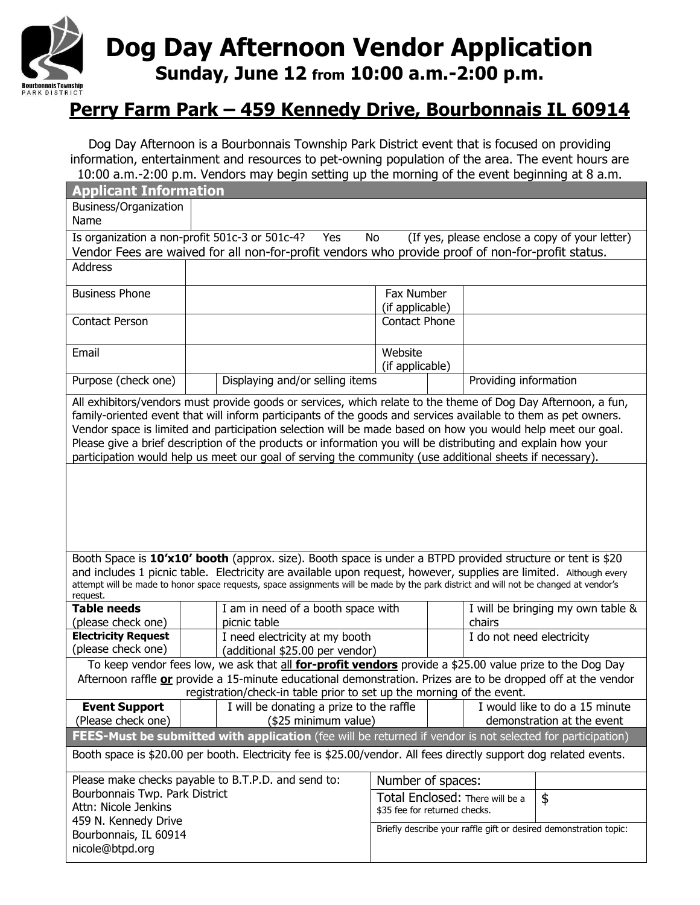

# **Dog Day Afternoon Vendor Application Sunday, June 12 from 10:00 a.m.-2:00 p.m.**

## **Perry Farm Park – 459 Kennedy Drive, Bourbonnais IL 60914**

Dog Day Afternoon is a Bourbonnais Township Park District event that is focused on providing information, entertainment and resources to pet-owning population of the area. The event hours are 10:00 a.m.-2:00 p.m. Vendors may begin setting up the morning of the event beginning at 8 a.m.

| <b>Applicant Information</b>                                                                                                                                                                                                      |                                                                                                               |                                                                   |                           |                                   |
|-----------------------------------------------------------------------------------------------------------------------------------------------------------------------------------------------------------------------------------|---------------------------------------------------------------------------------------------------------------|-------------------------------------------------------------------|---------------------------|-----------------------------------|
| Business/Organization                                                                                                                                                                                                             |                                                                                                               |                                                                   |                           |                                   |
| Name                                                                                                                                                                                                                              |                                                                                                               |                                                                   |                           |                                   |
| Is organization a non-profit 501c-3 or 501c-4?<br>(If yes, please enclose a copy of your letter)<br>Yes<br>No                                                                                                                     |                                                                                                               |                                                                   |                           |                                   |
| Vendor Fees are waived for all non-for-profit vendors who provide proof of non-for-profit status.                                                                                                                                 |                                                                                                               |                                                                   |                           |                                   |
| <b>Address</b>                                                                                                                                                                                                                    |                                                                                                               |                                                                   |                           |                                   |
| <b>Business Phone</b>                                                                                                                                                                                                             |                                                                                                               | Fax Number                                                        |                           |                                   |
|                                                                                                                                                                                                                                   |                                                                                                               |                                                                   | (if applicable)           |                                   |
| <b>Contact Person</b>                                                                                                                                                                                                             |                                                                                                               | Contact Phone                                                     |                           |                                   |
|                                                                                                                                                                                                                                   |                                                                                                               |                                                                   |                           |                                   |
| Email                                                                                                                                                                                                                             |                                                                                                               | Website                                                           |                           |                                   |
|                                                                                                                                                                                                                                   |                                                                                                               | (if applicable)                                                   |                           |                                   |
| Purpose (check one)                                                                                                                                                                                                               | Displaying and/or selling items                                                                               |                                                                   | Providing information     |                                   |
|                                                                                                                                                                                                                                   | All exhibitors/vendors must provide goods or services, which relate to the theme of Dog Day Afternoon, a fun, |                                                                   |                           |                                   |
| family-oriented event that will inform participants of the goods and services available to them as pet owners.                                                                                                                    |                                                                                                               |                                                                   |                           |                                   |
| Vendor space is limited and participation selection will be made based on how you would help meet our goal.                                                                                                                       |                                                                                                               |                                                                   |                           |                                   |
| Please give a brief description of the products or information you will be distributing and explain how your                                                                                                                      |                                                                                                               |                                                                   |                           |                                   |
| participation would help us meet our goal of serving the community (use additional sheets if necessary).                                                                                                                          |                                                                                                               |                                                                   |                           |                                   |
|                                                                                                                                                                                                                                   |                                                                                                               |                                                                   |                           |                                   |
|                                                                                                                                                                                                                                   |                                                                                                               |                                                                   |                           |                                   |
|                                                                                                                                                                                                                                   |                                                                                                               |                                                                   |                           |                                   |
|                                                                                                                                                                                                                                   |                                                                                                               |                                                                   |                           |                                   |
|                                                                                                                                                                                                                                   |                                                                                                               |                                                                   |                           |                                   |
|                                                                                                                                                                                                                                   |                                                                                                               |                                                                   |                           |                                   |
| Booth Space is 10'x10' booth (approx. size). Booth space is under a BTPD provided structure or tent is \$20<br>and includes 1 picnic table. Electricity are available upon request, however, supplies are limited. Although every |                                                                                                               |                                                                   |                           |                                   |
| attempt will be made to honor space requests, space assignments will be made by the park district and will not be changed at vendor's                                                                                             |                                                                                                               |                                                                   |                           |                                   |
| request.                                                                                                                                                                                                                          |                                                                                                               |                                                                   |                           |                                   |
| <b>Table needs</b>                                                                                                                                                                                                                | I am in need of a booth space with                                                                            |                                                                   |                           | I will be bringing my own table & |
| (please check one)                                                                                                                                                                                                                | picnic table                                                                                                  | chairs                                                            |                           |                                   |
| <b>Electricity Request</b>                                                                                                                                                                                                        | I need electricity at my booth                                                                                |                                                                   | I do not need electricity |                                   |
| (please check one)                                                                                                                                                                                                                | (additional \$25.00 per vendor)                                                                               |                                                                   |                           |                                   |
| To keep vendor fees low, we ask that all for-profit vendors provide a \$25.00 value prize to the Dog Day                                                                                                                          |                                                                                                               |                                                                   |                           |                                   |
| Afternoon raffle or provide a 15-minute educational demonstration. Prizes are to be dropped off at the vendor<br>registration/check-in table prior to set up the morning of the event.                                            |                                                                                                               |                                                                   |                           |                                   |
| <b>Event Support</b>                                                                                                                                                                                                              | I will be donating a prize to the raffle                                                                      |                                                                   |                           | I would like to do a 15 minute    |
| (Please check one)                                                                                                                                                                                                                | (\$25 minimum value)                                                                                          |                                                                   |                           | demonstration at the event        |
|                                                                                                                                                                                                                                   |                                                                                                               |                                                                   |                           |                                   |
| FEES-Must be submitted with application (fee will be returned if vendor is not selected for participation)<br>Booth space is \$20.00 per booth. Electricity fee is \$25.00/vendor. All fees directly support dog related events.  |                                                                                                               |                                                                   |                           |                                   |
|                                                                                                                                                                                                                                   |                                                                                                               |                                                                   |                           |                                   |
| Please make checks payable to B.T.P.D. and send to:                                                                                                                                                                               |                                                                                                               | Number of spaces:                                                 |                           |                                   |
| Bourbonnais Twp. Park District                                                                                                                                                                                                    |                                                                                                               | \$<br>Total Enclosed: There will be a                             |                           |                                   |
| Attn: Nicole Jenkins                                                                                                                                                                                                              |                                                                                                               | \$35 fee for returned checks.                                     |                           |                                   |
| 459 N. Kennedy Drive                                                                                                                                                                                                              |                                                                                                               | Briefly describe your raffle gift or desired demonstration topic: |                           |                                   |
| Bourbonnais, IL 60914                                                                                                                                                                                                             |                                                                                                               |                                                                   |                           |                                   |
| nicole@btpd.org                                                                                                                                                                                                                   |                                                                                                               |                                                                   |                           |                                   |